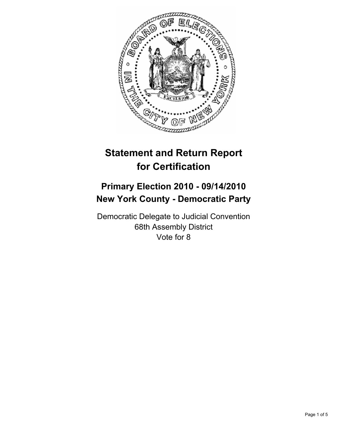

# **Statement and Return Report for Certification**

## **Primary Election 2010 - 09/14/2010 New York County - Democratic Party**

Democratic Delegate to Judicial Convention 68th Assembly District Vote for 8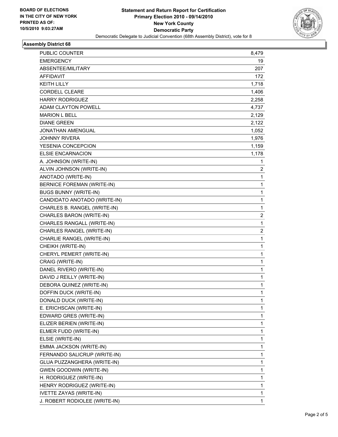

## **Assembly District 68**

| PUBLIC COUNTER                    | 8,479        |
|-----------------------------------|--------------|
| <b>EMERGENCY</b>                  | 19           |
| ABSENTEE/MILITARY                 | 207          |
| AFFIDAVIT                         | 172          |
| <b>KEITH LILLY</b>                | 1,718        |
| <b>CORDELL CLEARE</b>             | 1,406        |
| <b>HARRY RODRIGUEZ</b>            | 2,258        |
| ADAM CLAYTON POWELL               | 4,737        |
| <b>MARION L BELL</b>              | 2,129        |
| <b>DIANE GREEN</b>                | 2,122        |
| <b>JONATHAN AMENGUAL</b>          | 1,052        |
| <b>JOHNNY RIVERA</b>              | 1,976        |
| YESENIA CONCEPCION                | 1,159        |
| <b>ELSIE ENCARNACION</b>          | 1,178        |
| A. JOHNSON (WRITE-IN)             | 1            |
| ALVIN JOHNSON (WRITE-IN)          | 2            |
| ANOTADO (WRITE-IN)                | $\mathbf{1}$ |
| <b>BERNICE FOREMAN (WRITE-IN)</b> | 1            |
| <b>BUGS BUNNY (WRITE-IN)</b>      | 1            |
| CANDIDATO ANOTADO (WRITE-IN)      | 1            |
| CHARLES B. RANGEL (WRITE-IN)      | 1            |
| CHARLES BARON (WRITE-IN)          | 2            |
| CHARLES RANGALL (WRITE-IN)        | $\mathbf{1}$ |
| CHARLES RANGEL (WRITE-IN)         | 2            |
| CHARLIE RANGEL (WRITE-IN)         | 1            |
| CHEIKH (WRITE-IN)                 | 1            |
| CHERYL PEMERT (WRITE-IN)          | 1            |
| CRAIG (WRITE-IN)                  | 1            |
| DANEL RIVERO (WRITE-IN)           | 1            |
| DAVID J REILLY (WRITE-IN)         | 1            |
| DEBORA QUINEZ (WRITE-IN)          | 1            |
| DOFFIN DUCK (WRITE-IN)            | $\mathbf 1$  |
| DONALD DUCK (WRITE-IN)            | 1            |
| E. ERICHSCAN (WRITE-IN)           | 1            |
| EDWARD GRES (WRITE-IN)            | 1            |
| ELIZER BERIEN (WRITE-IN)          | 1            |
| ELMER FUDD (WRITE-IN)             | 1            |
| ELSIE (WRITE-IN)                  | 1            |
| EMMA JACKSON (WRITE-IN)           | 1            |
| FERNANDO SALICRUP (WRITE-IN)      | 1            |
| GLUA PUZZANGHERA (WRITE-IN)       | 1            |
| <b>GWEN GOODWIN (WRITE-IN)</b>    | 1            |
| H. RODRIGUEZ (WRITE-IN)           | 1            |
| HENRY RODRIGUEZ (WRITE-IN)        | 1            |
| <b>IVETTE ZAYAS (WRITE-IN)</b>    | 1            |
| J. ROBERT RODIOLEE (WRITE-IN)     | 1            |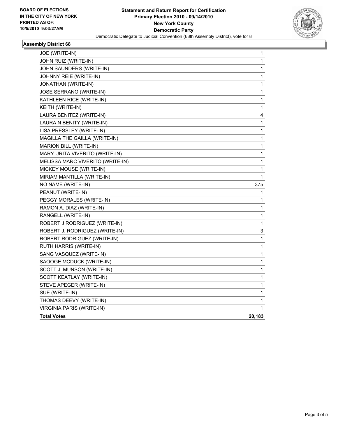

## **Assembly District 68**

| JOE (WRITE-IN)                   | 1      |
|----------------------------------|--------|
| JOHN RUIZ (WRITE-IN)             | 1      |
| JOHN SAUNDERS (WRITE-IN)         | 1      |
| JOHNNY REIE (WRITE-IN)           | 1      |
| JONATHAN (WRITE-IN)              | 1      |
| JOSE SERRANO (WRITE-IN)          | 1      |
| KATHLEEN RICE (WRITE-IN)         | 1      |
| KEITH (WRITE-IN)                 | 1      |
| LAURA BENITEZ (WRITE-IN)         | 4      |
| LAURA N BENITY (WRITE-IN)        | 1      |
| LISA PRESSLEY (WRITE-IN)         | 1      |
| MAGILLA THE GAILLA (WRITE-IN)    | 1      |
| MARION BILL (WRITE-IN)           | 1      |
| MARY URITA VIVERITO (WRITE-IN)   | 1      |
| MELISSA MARC VIVERITO (WRITE-IN) | 1      |
| MICKEY MOUSE (WRITE-IN)          | 1      |
| MIRIAM MANTILLA (WRITE-IN)       | 1      |
| NO NAME (WRITE-IN)               | 375    |
| PEANUT (WRITE-IN)                | 1      |
| PEGGY MORALES (WRITE-IN)         | 1      |
| RAMON A. DIAZ (WRITE-IN)         | 1      |
| RANGELL (WRITE-IN)               | 1      |
| ROBERT J RODRIGUEZ (WRITE-IN)    | 1      |
| ROBERT J. RODRIGUEZ (WRITE-IN)   | 3      |
| ROBERT RODRIGUEZ (WRITE-IN)      | 1      |
| RUTH HARRIS (WRITE-IN)           | 1      |
| SANG VASQUEZ (WRITE-IN)          | 1      |
| SAOOGE MCDUCK (WRITE-IN)         | 1      |
| SCOTT J. MUNSON (WRITE-IN)       | 1      |
| SCOTT KEATLAY (WRITE-IN)         | 1      |
| STEVE APEGER (WRITE-IN)          | 1      |
| SUE (WRITE-IN)                   | 1      |
| THOMAS DEEVY (WRITE-IN)          | 1      |
| VIRGINIA PARIS (WRITE-IN)        | 1      |
| <b>Total Votes</b>               | 20,183 |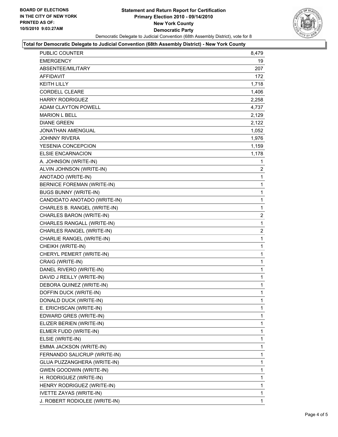

#### **Total for Democratic Delegate to Judicial Convention (68th Assembly District) - New York County**

| EMERGENCY<br>ABSENTEE/MILITARY<br>AFFIDAVIT<br><b>KEITH LILLY</b><br><b>CORDELL CLEARE</b><br><b>HARRY RODRIGUEZ</b><br><b>ADAM CLAYTON POWELL</b><br><b>MARION L BELL</b><br><b>DIANE GREEN</b><br>JONATHAN AMENGUAL<br><b>JOHNNY RIVERA</b><br>YESENIA CONCEPCION<br><b>ELSIE ENCARNACION</b><br>A. JOHNSON (WRITE-IN)<br>ALVIN JOHNSON (WRITE-IN)<br>ANOTADO (WRITE-IN)<br><b>BERNICE FOREMAN (WRITE-IN)</b><br><b>BUGS BUNNY (WRITE-IN)</b><br>CANDIDATO ANOTADO (WRITE-IN)<br>CHARLES B. RANGEL (WRITE-IN)<br>CHARLES BARON (WRITE-IN)<br>CHARLES RANGALL (WRITE-IN)<br>CHARLES RANGEL (WRITE-IN)<br>CHARLIE RANGEL (WRITE-IN)<br>CHEIKH (WRITE-IN)<br>CHERYL PEMERT (WRITE-IN)<br>CRAIG (WRITE-IN)<br>DANEL RIVERO (WRITE-IN)<br>DAVID J REILLY (WRITE-IN)<br>DEBORA QUINEZ (WRITE-IN)<br>DOFFIN DUCK (WRITE-IN)<br>DONALD DUCK (WRITE-IN)<br>E. ERICHSCAN (WRITE-IN)<br>EDWARD GRES (WRITE-IN)<br>ELIZER BERIEN (WRITE-IN)<br>ELMER FUDD (WRITE-IN)<br>ELSIE (WRITE-IN)<br>EMMA JACKSON (WRITE-IN)<br>FERNANDO SALICRUP (WRITE-IN)<br>GLUA PUZZANGHERA (WRITE-IN)<br><b>GWEN GOODWIN (WRITE-IN)</b><br>H. RODRIGUEZ (WRITE-IN)<br>HENRY RODRIGUEZ (WRITE-IN)<br><b>IVETTE ZAYAS (WRITE-IN)</b><br>J. ROBERT RODIOLEE (WRITE-IN) | PUBLIC COUNTER | 8,479          |
|----------------------------------------------------------------------------------------------------------------------------------------------------------------------------------------------------------------------------------------------------------------------------------------------------------------------------------------------------------------------------------------------------------------------------------------------------------------------------------------------------------------------------------------------------------------------------------------------------------------------------------------------------------------------------------------------------------------------------------------------------------------------------------------------------------------------------------------------------------------------------------------------------------------------------------------------------------------------------------------------------------------------------------------------------------------------------------------------------------------------------------------------------------------------------------------------------------------------------------------|----------------|----------------|
|                                                                                                                                                                                                                                                                                                                                                                                                                                                                                                                                                                                                                                                                                                                                                                                                                                                                                                                                                                                                                                                                                                                                                                                                                                        |                | 19             |
|                                                                                                                                                                                                                                                                                                                                                                                                                                                                                                                                                                                                                                                                                                                                                                                                                                                                                                                                                                                                                                                                                                                                                                                                                                        |                | 207            |
|                                                                                                                                                                                                                                                                                                                                                                                                                                                                                                                                                                                                                                                                                                                                                                                                                                                                                                                                                                                                                                                                                                                                                                                                                                        |                | 172            |
|                                                                                                                                                                                                                                                                                                                                                                                                                                                                                                                                                                                                                                                                                                                                                                                                                                                                                                                                                                                                                                                                                                                                                                                                                                        |                | 1,718          |
|                                                                                                                                                                                                                                                                                                                                                                                                                                                                                                                                                                                                                                                                                                                                                                                                                                                                                                                                                                                                                                                                                                                                                                                                                                        |                | 1,406          |
|                                                                                                                                                                                                                                                                                                                                                                                                                                                                                                                                                                                                                                                                                                                                                                                                                                                                                                                                                                                                                                                                                                                                                                                                                                        |                | 2,258          |
|                                                                                                                                                                                                                                                                                                                                                                                                                                                                                                                                                                                                                                                                                                                                                                                                                                                                                                                                                                                                                                                                                                                                                                                                                                        |                | 4,737          |
|                                                                                                                                                                                                                                                                                                                                                                                                                                                                                                                                                                                                                                                                                                                                                                                                                                                                                                                                                                                                                                                                                                                                                                                                                                        |                | 2,129          |
|                                                                                                                                                                                                                                                                                                                                                                                                                                                                                                                                                                                                                                                                                                                                                                                                                                                                                                                                                                                                                                                                                                                                                                                                                                        |                | 2,122          |
|                                                                                                                                                                                                                                                                                                                                                                                                                                                                                                                                                                                                                                                                                                                                                                                                                                                                                                                                                                                                                                                                                                                                                                                                                                        |                | 1,052          |
|                                                                                                                                                                                                                                                                                                                                                                                                                                                                                                                                                                                                                                                                                                                                                                                                                                                                                                                                                                                                                                                                                                                                                                                                                                        |                | 1,976          |
|                                                                                                                                                                                                                                                                                                                                                                                                                                                                                                                                                                                                                                                                                                                                                                                                                                                                                                                                                                                                                                                                                                                                                                                                                                        |                | 1,159          |
|                                                                                                                                                                                                                                                                                                                                                                                                                                                                                                                                                                                                                                                                                                                                                                                                                                                                                                                                                                                                                                                                                                                                                                                                                                        |                | 1,178          |
|                                                                                                                                                                                                                                                                                                                                                                                                                                                                                                                                                                                                                                                                                                                                                                                                                                                                                                                                                                                                                                                                                                                                                                                                                                        |                | 1              |
|                                                                                                                                                                                                                                                                                                                                                                                                                                                                                                                                                                                                                                                                                                                                                                                                                                                                                                                                                                                                                                                                                                                                                                                                                                        |                | $\overline{2}$ |
|                                                                                                                                                                                                                                                                                                                                                                                                                                                                                                                                                                                                                                                                                                                                                                                                                                                                                                                                                                                                                                                                                                                                                                                                                                        |                | 1              |
|                                                                                                                                                                                                                                                                                                                                                                                                                                                                                                                                                                                                                                                                                                                                                                                                                                                                                                                                                                                                                                                                                                                                                                                                                                        |                | 1              |
|                                                                                                                                                                                                                                                                                                                                                                                                                                                                                                                                                                                                                                                                                                                                                                                                                                                                                                                                                                                                                                                                                                                                                                                                                                        |                | 1              |
|                                                                                                                                                                                                                                                                                                                                                                                                                                                                                                                                                                                                                                                                                                                                                                                                                                                                                                                                                                                                                                                                                                                                                                                                                                        |                | 1              |
|                                                                                                                                                                                                                                                                                                                                                                                                                                                                                                                                                                                                                                                                                                                                                                                                                                                                                                                                                                                                                                                                                                                                                                                                                                        |                | 1              |
|                                                                                                                                                                                                                                                                                                                                                                                                                                                                                                                                                                                                                                                                                                                                                                                                                                                                                                                                                                                                                                                                                                                                                                                                                                        |                | $\overline{2}$ |
|                                                                                                                                                                                                                                                                                                                                                                                                                                                                                                                                                                                                                                                                                                                                                                                                                                                                                                                                                                                                                                                                                                                                                                                                                                        |                | 1              |
|                                                                                                                                                                                                                                                                                                                                                                                                                                                                                                                                                                                                                                                                                                                                                                                                                                                                                                                                                                                                                                                                                                                                                                                                                                        |                | 2              |
|                                                                                                                                                                                                                                                                                                                                                                                                                                                                                                                                                                                                                                                                                                                                                                                                                                                                                                                                                                                                                                                                                                                                                                                                                                        |                | 1              |
|                                                                                                                                                                                                                                                                                                                                                                                                                                                                                                                                                                                                                                                                                                                                                                                                                                                                                                                                                                                                                                                                                                                                                                                                                                        |                | 1              |
|                                                                                                                                                                                                                                                                                                                                                                                                                                                                                                                                                                                                                                                                                                                                                                                                                                                                                                                                                                                                                                                                                                                                                                                                                                        |                | 1              |
|                                                                                                                                                                                                                                                                                                                                                                                                                                                                                                                                                                                                                                                                                                                                                                                                                                                                                                                                                                                                                                                                                                                                                                                                                                        |                | 1              |
|                                                                                                                                                                                                                                                                                                                                                                                                                                                                                                                                                                                                                                                                                                                                                                                                                                                                                                                                                                                                                                                                                                                                                                                                                                        |                | 1              |
|                                                                                                                                                                                                                                                                                                                                                                                                                                                                                                                                                                                                                                                                                                                                                                                                                                                                                                                                                                                                                                                                                                                                                                                                                                        |                | 1              |
|                                                                                                                                                                                                                                                                                                                                                                                                                                                                                                                                                                                                                                                                                                                                                                                                                                                                                                                                                                                                                                                                                                                                                                                                                                        |                | 1              |
|                                                                                                                                                                                                                                                                                                                                                                                                                                                                                                                                                                                                                                                                                                                                                                                                                                                                                                                                                                                                                                                                                                                                                                                                                                        |                | $\mathbf{1}$   |
|                                                                                                                                                                                                                                                                                                                                                                                                                                                                                                                                                                                                                                                                                                                                                                                                                                                                                                                                                                                                                                                                                                                                                                                                                                        |                | 1              |
|                                                                                                                                                                                                                                                                                                                                                                                                                                                                                                                                                                                                                                                                                                                                                                                                                                                                                                                                                                                                                                                                                                                                                                                                                                        |                | $\mathbf{1}$   |
|                                                                                                                                                                                                                                                                                                                                                                                                                                                                                                                                                                                                                                                                                                                                                                                                                                                                                                                                                                                                                                                                                                                                                                                                                                        |                | 1              |
|                                                                                                                                                                                                                                                                                                                                                                                                                                                                                                                                                                                                                                                                                                                                                                                                                                                                                                                                                                                                                                                                                                                                                                                                                                        |                | 1              |
|                                                                                                                                                                                                                                                                                                                                                                                                                                                                                                                                                                                                                                                                                                                                                                                                                                                                                                                                                                                                                                                                                                                                                                                                                                        |                | 1              |
|                                                                                                                                                                                                                                                                                                                                                                                                                                                                                                                                                                                                                                                                                                                                                                                                                                                                                                                                                                                                                                                                                                                                                                                                                                        |                | 1              |
|                                                                                                                                                                                                                                                                                                                                                                                                                                                                                                                                                                                                                                                                                                                                                                                                                                                                                                                                                                                                                                                                                                                                                                                                                                        |                | 1              |
|                                                                                                                                                                                                                                                                                                                                                                                                                                                                                                                                                                                                                                                                                                                                                                                                                                                                                                                                                                                                                                                                                                                                                                                                                                        |                | 1              |
|                                                                                                                                                                                                                                                                                                                                                                                                                                                                                                                                                                                                                                                                                                                                                                                                                                                                                                                                                                                                                                                                                                                                                                                                                                        |                | 1              |
|                                                                                                                                                                                                                                                                                                                                                                                                                                                                                                                                                                                                                                                                                                                                                                                                                                                                                                                                                                                                                                                                                                                                                                                                                                        |                | 1              |
|                                                                                                                                                                                                                                                                                                                                                                                                                                                                                                                                                                                                                                                                                                                                                                                                                                                                                                                                                                                                                                                                                                                                                                                                                                        |                | 1              |
|                                                                                                                                                                                                                                                                                                                                                                                                                                                                                                                                                                                                                                                                                                                                                                                                                                                                                                                                                                                                                                                                                                                                                                                                                                        |                | $\mathbf{1}$   |
|                                                                                                                                                                                                                                                                                                                                                                                                                                                                                                                                                                                                                                                                                                                                                                                                                                                                                                                                                                                                                                                                                                                                                                                                                                        |                | 1              |
|                                                                                                                                                                                                                                                                                                                                                                                                                                                                                                                                                                                                                                                                                                                                                                                                                                                                                                                                                                                                                                                                                                                                                                                                                                        |                | $\mathbf{1}$   |